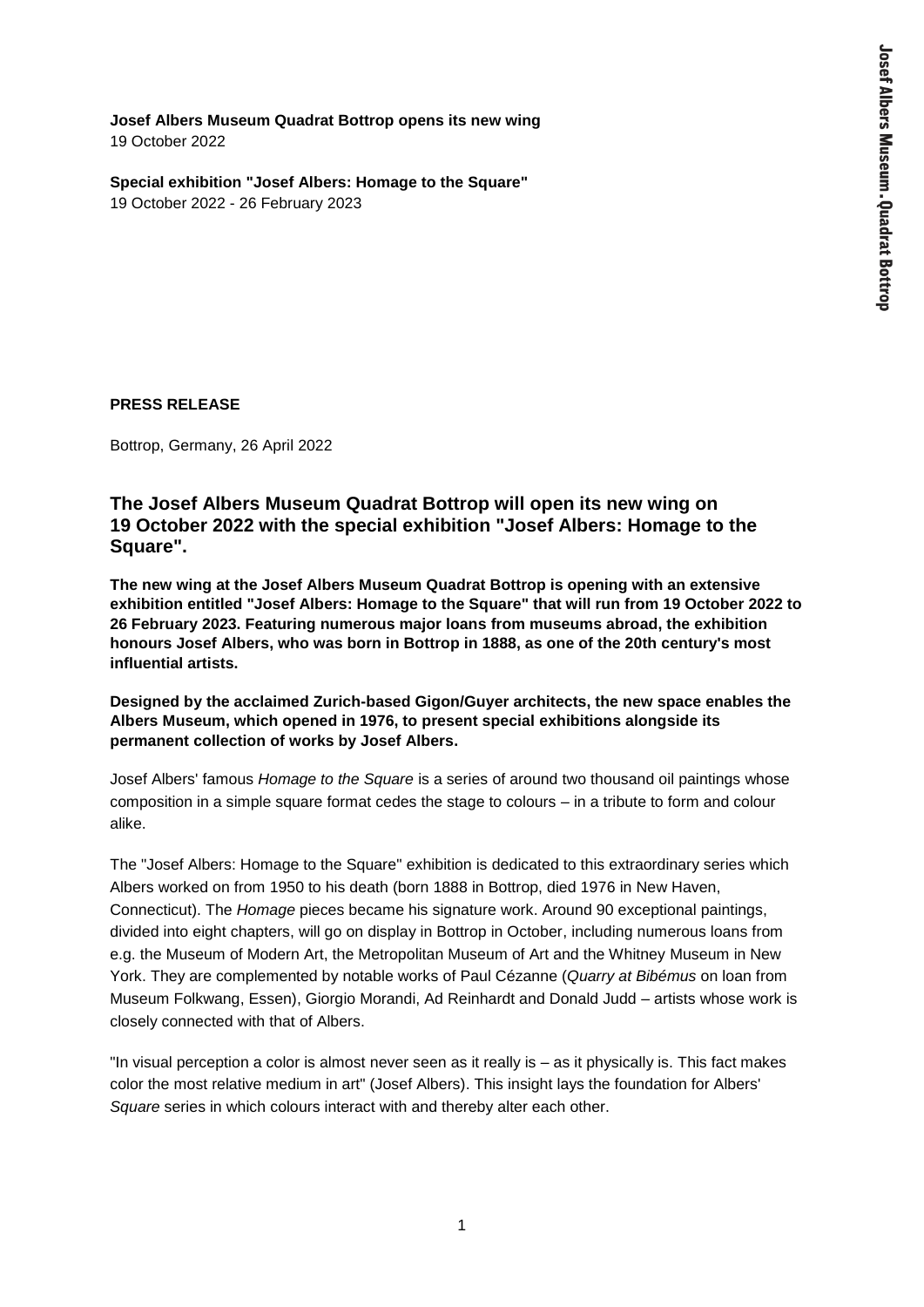**Josef Albers Museum Quadrat Bottrop opens its new wing** 19 October 2022

**Special exhibition "Josef Albers: Homage to the Square"** 19 October 2022 - 26 February 2023

### **PRESS RELEASE**

Bottrop, Germany, 26 April 2022

# **The Josef Albers Museum Quadrat Bottrop will open its new wing on 19 October 2022 with the special exhibition "Josef Albers: Homage to the Square".**

**The new wing at the Josef Albers Museum Quadrat Bottrop is opening with an extensive exhibition entitled "Josef Albers: Homage to the Square" that will run from 19 October 2022 to 26 February 2023. Featuring numerous major loans from museums abroad, the exhibition honours Josef Albers, who was born in Bottrop in 1888, as one of the 20th century's most influential artists.** 

**Designed by the acclaimed Zurich-based Gigon/Guyer architects, the new space enables the Albers Museum, which opened in 1976, to present special exhibitions alongside its permanent collection of works by Josef Albers.**

Josef Albers' famous *Homage to the Square* is a series of around two thousand oil paintings whose composition in a simple square format cedes the stage to colours – in a tribute to form and colour alike.

The "Josef Albers: Homage to the Square" exhibition is dedicated to this extraordinary series which Albers worked on from 1950 to his death (born 1888 in Bottrop, died 1976 in New Haven, Connecticut). The *Homage* pieces became his signature work. Around 90 exceptional paintings, divided into eight chapters, will go on display in Bottrop in October, including numerous loans from e.g. the Museum of Modern Art, the Metropolitan Museum of Art and the Whitney Museum in New York. They are complemented by notable works of Paul Cézanne (*Quarry at Bibémus* on loan from Museum Folkwang, Essen), Giorgio Morandi, Ad Reinhardt and Donald Judd – artists whose work is closely connected with that of Albers.

"In visual perception a color is almost never seen as it really is ‒ as it physically is. This fact makes color the most relative medium in art" (Josef Albers). This insight lays the foundation for Albers' *Square* series in which colours interact with and thereby alter each other.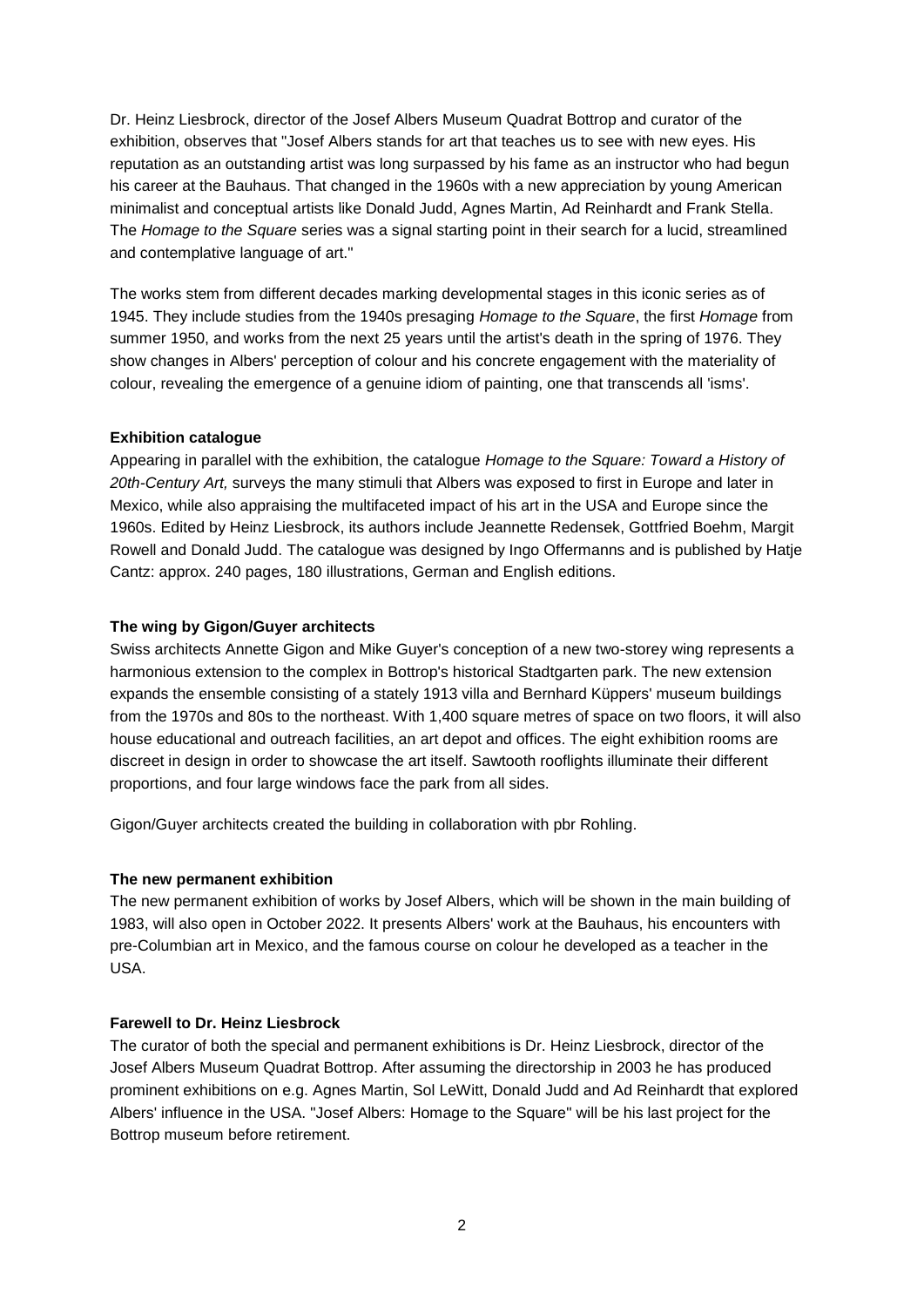Dr. Heinz Liesbrock, director of the Josef Albers Museum Quadrat Bottrop and curator of the exhibition, observes that "Josef Albers stands for art that teaches us to see with new eyes. His reputation as an outstanding artist was long surpassed by his fame as an instructor who had begun his career at the Bauhaus. That changed in the 1960s with a new appreciation by young American minimalist and conceptual artists like Donald Judd, Agnes Martin, Ad Reinhardt and Frank Stella. The *Homage to the Square* series was a signal starting point in their search for a lucid, streamlined and contemplative language of art."

The works stem from different decades marking developmental stages in this iconic series as of 1945. They include studies from the 1940s presaging *Homage to the Square*, the first *Homage* from summer 1950, and works from the next 25 years until the artist's death in the spring of 1976. They show changes in Albers' perception of colour and his concrete engagement with the materiality of colour, revealing the emergence of a genuine idiom of painting, one that transcends all 'isms'.

## **Exhibition catalogue**

Appearing in parallel with the exhibition, the catalogue *Homage to the Square: Toward a History of 20th-Century Art,* surveys the many stimuli that Albers was exposed to first in Europe and later in Mexico, while also appraising the multifaceted impact of his art in the USA and Europe since the 1960s. Edited by Heinz Liesbrock, its authors include Jeannette Redensek, Gottfried Boehm, Margit Rowell and Donald Judd. The catalogue was designed by Ingo Offermanns and is published by Hatje Cantz: approx. 240 pages, 180 illustrations, German and English editions.

## **The wing by Gigon/Guyer architects**

Swiss architects Annette Gigon and Mike Guyer's conception of a new two-storey wing represents a harmonious extension to the complex in Bottrop's historical Stadtgarten park. The new extension expands the ensemble consisting of a stately 1913 villa and Bernhard Küppers' museum buildings from the 1970s and 80s to the northeast. With 1,400 square metres of space on two floors, it will also house educational and outreach facilities, an art depot and offices. The eight exhibition rooms are discreet in design in order to showcase the art itself. Sawtooth rooflights illuminate their different proportions, and four large windows face the park from all sides.

Gigon/Guyer architects created the building in collaboration with pbr Rohling.

## **The new permanent exhibition**

The new permanent exhibition of works by Josef Albers, which will be shown in the main building of 1983, will also open in October 2022. It presents Albers' work at the Bauhaus, his encounters with pre-Columbian art in Mexico, and the famous course on colour he developed as a teacher in the USA.

## **Farewell to Dr. Heinz Liesbrock**

The curator of both the special and permanent exhibitions is Dr. Heinz Liesbrock, director of the Josef Albers Museum Quadrat Bottrop. After assuming the directorship in 2003 he has produced prominent exhibitions on e.g. Agnes Martin, Sol LeWitt, Donald Judd and Ad Reinhardt that explored Albers' influence in the USA. "Josef Albers: Homage to the Square" will be his last project for the Bottrop museum before retirement.